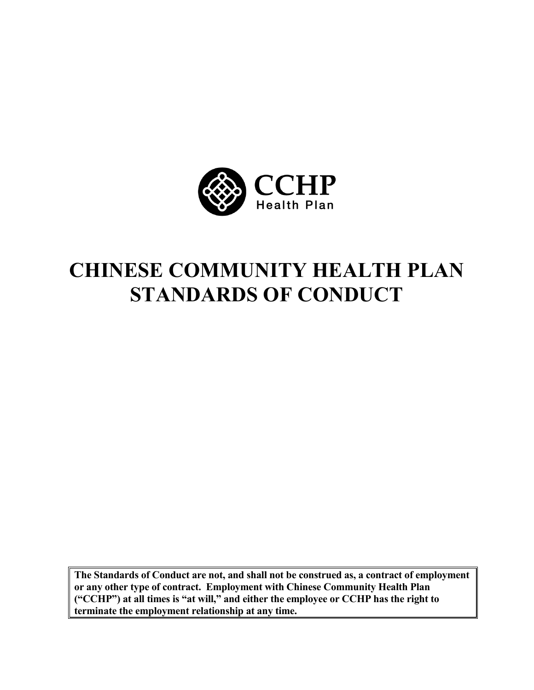

# **CHINESE COMMUNITY HEALTH PLAN STANDARDS OF CONDUCT**

**The Standards of Conduct are not, and shall not be construed as, a contract of employment or any other type of contract. Employment with Chinese Community Health Plan ("CCHP") at all times is "at will," and either the employee or CCHP has the right to terminate the employment relationship at any time.**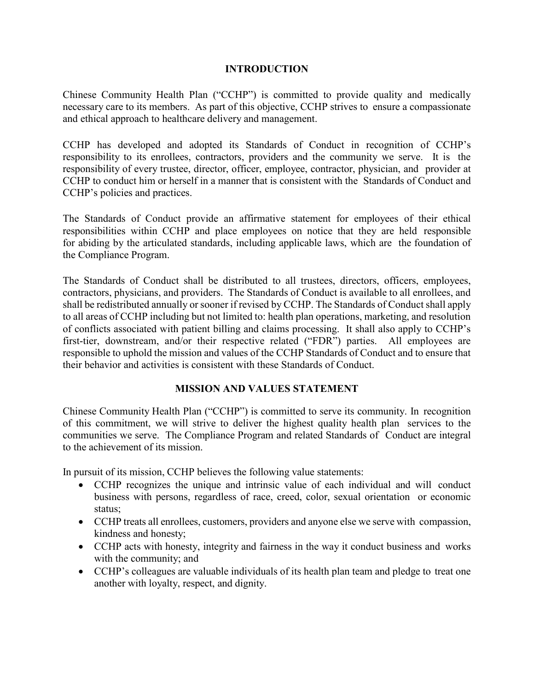#### **INTRODUCTION**

Chinese Community Health Plan ("CCHP") is committed to provide quality and medically necessary care to its members. As part of this objective, CCHP strives to ensure a compassionate and ethical approach to healthcare delivery and management.

CCHP has developed and adopted its Standards of Conduct in recognition of CCHP's responsibility to its enrollees, contractors, providers and the community we serve. It is the responsibility of every trustee, director, officer, employee, contractor, physician, and provider at CCHP to conduct him or herself in a manner that is consistent with the Standards of Conduct and CCHP's policies and practices.

The Standards of Conduct provide an affirmative statement for employees of their ethical responsibilities within CCHP and place employees on notice that they are held responsible for abiding by the articulated standards, including applicable laws, which are the foundation of the Compliance Program.

The Standards of Conduct shall be distributed to all trustees, directors, officers, employees, contractors, physicians, and providers. The Standards of Conduct is available to all enrollees, and shall be redistributed annually or sooner if revised by CCHP. The Standards of Conduct shall apply to all areas of CCHP including but not limited to: health plan operations, marketing, and resolution of conflicts associated with patient billing and claims processing. It shall also apply to CCHP's first-tier, downstream, and/or their respective related ("FDR") parties. All employees are responsible to uphold the mission and values of the CCHP Standards of Conduct and to ensure that their behavior and activities is consistent with these Standards of Conduct.

# **MISSION AND VALUES STATEMENT**

Chinese Community Health Plan ("CCHP") is committed to serve its community. In recognition of this commitment, we will strive to deliver the highest quality health plan services to the communities we serve. The Compliance Program and related Standards of Conduct are integral to the achievement of its mission.

In pursuit of its mission, CCHP believes the following value statements:

- CCHP recognizes the unique and intrinsic value of each individual and will conduct business with persons, regardless of race, creed, color, sexual orientation or economic status;
- CCHP treats all enrollees, customers, providers and anyone else we serve with compassion, kindness and honesty;
- CCHP acts with honesty, integrity and fairness in the way it conduct business and works with the community; and
- CCHP's colleagues are valuable individuals of its health plan team and pledge to treat one another with loyalty, respect, and dignity.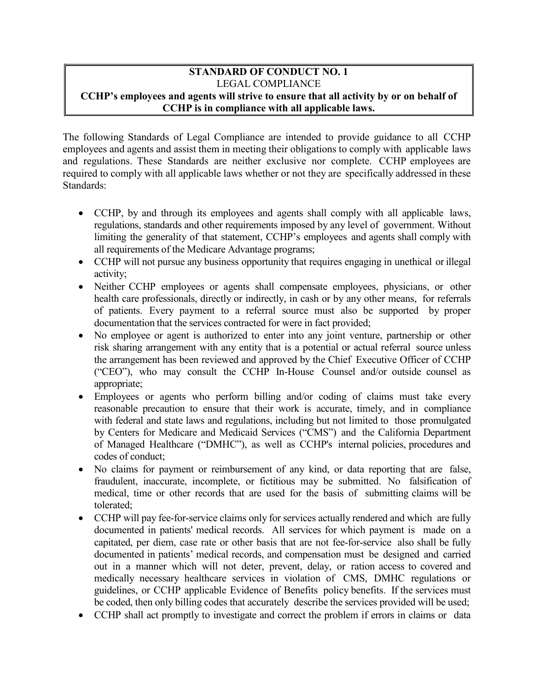#### **STANDARD OF CONDUCT NO. 1** LEGAL COMPLIANCE **CCHP's employees and agents will strive to ensure that all activity by or on behalf of CCHP is in compliance with all applicable laws.**

The following Standards of Legal Compliance are intended to provide guidance to all CCHP employees and agents and assist them in meeting their obligations to comply with applicable laws and regulations. These Standards are neither exclusive nor complete. CCHP employees are required to comply with all applicable laws whether or not they are specifically addressed in these Standards:

- CCHP, by and through its employees and agents shall comply with all applicable laws, regulations, standards and other requirements imposed by any level of government. Without limiting the generality of that statement, CCHP's employees and agents shall comply with all requirements of the Medicare Advantage programs;
- CCHP will not pursue any business opportunity that requires engaging in unethical or illegal activity;
- Neither CCHP employees or agents shall compensate employees, physicians, or other health care professionals, directly or indirectly, in cash or by any other means, for referrals of patients. Every payment to a referral source must also be supported by proper documentation that the services contracted for were in fact provided;
- No employee or agent is authorized to enter into any joint venture, partnership or other risk sharing arrangement with any entity that is a potential or actual referral source unless the arrangement has been reviewed and approved by the Chief Executive Officer of CCHP ("CEO"), who may consult the CCHP In-House Counsel and/or outside counsel as appropriate;
- Employees or agents who perform billing and/or coding of claims must take every reasonable precaution to ensure that their work is accurate, timely, and in compliance with federal and state laws and regulations, including but not limited to those promulgated by Centers for Medicare and Medicaid Services ("CMS") and the California Department of Managed Healthcare ("DMHC"), as well as CCHP's internal policies, procedures and codes of conduct;
- No claims for payment or reimbursement of any kind, or data reporting that are false, fraudulent, inaccurate, incomplete, or fictitious may be submitted. No falsification of medical, time or other records that are used for the basis of submitting claims will be tolerated;
- CCHP will pay fee-for-service claims only for services actually rendered and which are fully documented in patients' medical records. All services for which payment is made on a capitated, per diem, case rate or other basis that are not fee-for-service also shall be fully documented in patients' medical records, and compensation must be designed and carried out in a manner which will not deter, prevent, delay, or ration access to covered and medically necessary healthcare services in violation of CMS, DMHC regulations or guidelines, or CCHP applicable Evidence of Benefits policy benefits. If the services must be coded, then only billing codes that accurately describe the services provided will be used;
- CCHP shall act promptly to investigate and correct the problem if errors in claims or data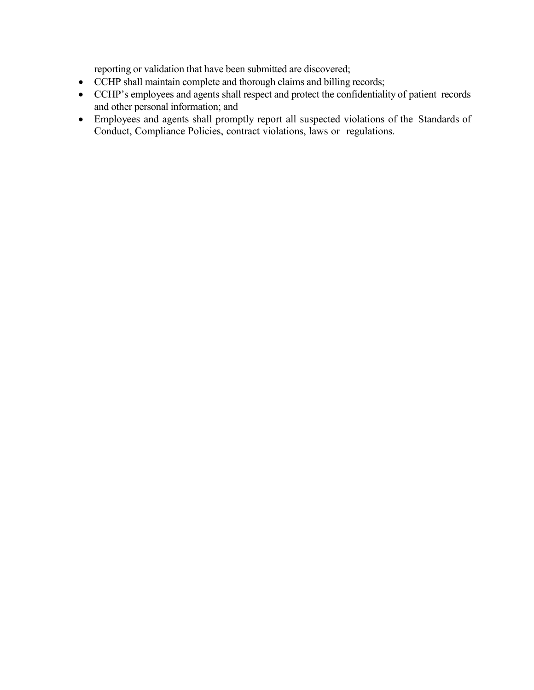reporting or validation that have been submitted are discovered;

- CCHP shall maintain complete and thorough claims and billing records;
- CCHP's employees and agents shall respect and protect the confidentiality of patient records and other personal information; and
- Employees and agents shall promptly report all suspected violations of the Standards of Conduct, Compliance Policies, contract violations, laws or regulations.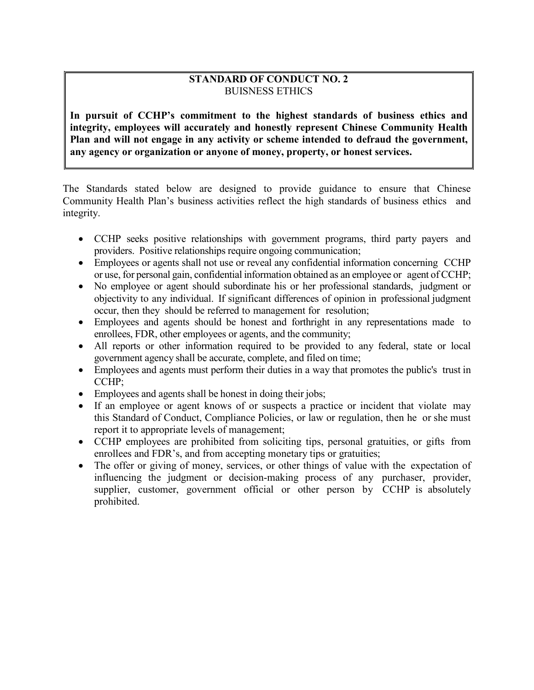# **STANDARD OF CONDUCT NO. 2** BUISNESS ETHICS

**In pursuit of CCHP's commitment to the highest standards of business ethics and integrity, employees will accurately and honestly represent Chinese Community Health Plan and will not engage in any activity or scheme intended to defraud the government, any agency or organization or anyone of money, property, or honest services.**

The Standards stated below are designed to provide guidance to ensure that Chinese Community Health Plan's business activities reflect the high standards of business ethics and integrity.

- CCHP seeks positive relationships with government programs, third party payers and providers. Positive relationships require ongoing communication;
- Employees or agents shall not use or reveal any confidential information concerning CCHP or use, for personal gain, confidential information obtained as an employee or agent of CCHP;
- No employee or agent should subordinate his or her professional standards, judgment or objectivity to any individual. If significant differences of opinion in professional judgment occur, then they should be referred to management for resolution;
- Employees and agents should be honest and forthright in any representations made to enrollees, FDR, other employees or agents, and the community;
- All reports or other information required to be provided to any federal, state or local government agency shall be accurate, complete, and filed on time;
- Employees and agents must perform their duties in a way that promotes the public's trust in CCHP;
- Employees and agents shall be honest in doing their jobs;
- If an employee or agent knows of or suspects a practice or incident that violate may this Standard of Conduct, Compliance Policies, or law or regulation, then he or she must report it to appropriate levels of management;
- CCHP employees are prohibited from soliciting tips, personal gratuities, or gifts from enrollees and FDR's, and from accepting monetary tips or gratuities;
- The offer or giving of money, services, or other things of value with the expectation of influencing the judgment or decision-making process of any purchaser, provider, supplier, customer, government official or other person by CCHP is absolutely prohibited.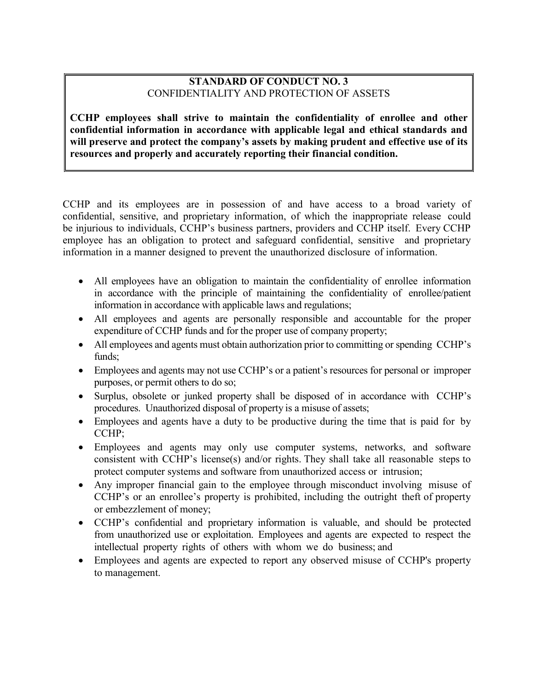# **STANDARD OF CONDUCT NO. 3** CONFIDENTIALITY AND PROTECTION OF ASSETS

**CCHP employees shall strive to maintain the confidentiality of enrollee and other confidential information in accordance with applicable legal and ethical standards and will preserve and protect the company's assets by making prudent and effective use of its resources and properly and accurately reporting their financial condition.**

CCHP and its employees are in possession of and have access to a broad variety of confidential, sensitive, and proprietary information, of which the inappropriate release could be injurious to individuals, CCHP's business partners, providers and CCHP itself. Every CCHP employee has an obligation to protect and safeguard confidential, sensitive and proprietary information in a manner designed to prevent the unauthorized disclosure of information.

- All employees have an obligation to maintain the confidentiality of enrollee information in accordance with the principle of maintaining the confidentiality of enrollee/patient information in accordance with applicable laws and regulations;
- All employees and agents are personally responsible and accountable for the proper expenditure of CCHP funds and for the proper use of company property;
- All employees and agents must obtain authorization prior to committing or spending CCHP's funds;
- Employees and agents may not use CCHP's or a patient's resources for personal or improper purposes, or permit others to do so;
- Surplus, obsolete or junked property shall be disposed of in accordance with CCHP's procedures. Unauthorized disposal of property is a misuse of assets;
- Employees and agents have a duty to be productive during the time that is paid for by CCHP;
- Employees and agents may only use computer systems, networks, and software consistent with CCHP's license(s) and/or rights. They shall take all reasonable steps to protect computer systems and software from unauthorized access or intrusion;
- Any improper financial gain to the employee through misconduct involving misuse of CCHP's or an enrollee's property is prohibited, including the outright theft of property or embezzlement of money;
- CCHP's confidential and proprietary information is valuable, and should be protected from unauthorized use or exploitation. Employees and agents are expected to respect the intellectual property rights of others with whom we do business; and
- Employees and agents are expected to report any observed misuse of CCHP's property to management.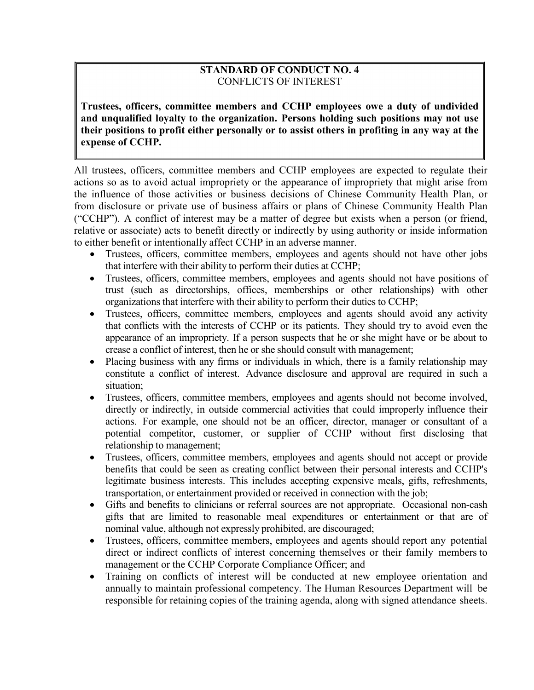# **STANDARD OF CONDUCT NO. 4** CONFLICTS OF INTEREST

**Trustees, officers, committee members and CCHP employees owe a duty of undivided and unqualified loyalty to the organization. Persons holding such positions may not use their positions to profit either personally or to assist others in profiting in any way at the expense of CCHP.**

All trustees, officers, committee members and CCHP employees are expected to regulate their actions so as to avoid actual impropriety or the appearance of impropriety that might arise from the influence of those activities or business decisions of Chinese Community Health Plan, or from disclosure or private use of business affairs or plans of Chinese Community Health Plan ("CCHP"). A conflict of interest may be a matter of degree but exists when a person (or friend, relative or associate) acts to benefit directly or indirectly by using authority or inside information to either benefit or intentionally affect CCHP in an adverse manner.

- Trustees, officers, committee members, employees and agents should not have other jobs that interfere with their ability to perform their duties at CCHP;
- Trustees, officers, committee members, employees and agents should not have positions of trust (such as directorships, offices, memberships or other relationships) with other organizations that interfere with their ability to perform their duties to CCHP;
- Trustees, officers, committee members, employees and agents should avoid any activity that conflicts with the interests of CCHP or its patients. They should try to avoid even the appearance of an impropriety. If a person suspects that he or she might have or be about to crease a conflict of interest, then he or she should consult with management;
- Placing business with any firms or individuals in which, there is a family relationship may constitute a conflict of interest. Advance disclosure and approval are required in such a situation;
- Trustees, officers, committee members, employees and agents should not become involved, directly or indirectly, in outside commercial activities that could improperly influence their actions. For example, one should not be an officer, director, manager or consultant of a potential competitor, customer, or supplier of CCHP without first disclosing that relationship to management;
- Trustees, officers, committee members, employees and agents should not accept or provide benefits that could be seen as creating conflict between their personal interests and CCHP's legitimate business interests. This includes accepting expensive meals, gifts, refreshments, transportation, or entertainment provided or received in connection with the job;
- Gifts and benefits to clinicians or referral sources are not appropriate. Occasional non-cash gifts that are limited to reasonable meal expenditures or entertainment or that are of nominal value, although not expressly prohibited, are discouraged;
- Trustees, officers, committee members, employees and agents should report any potential direct or indirect conflicts of interest concerning themselves or their family members to management or the CCHP Corporate Compliance Officer; and
- Training on conflicts of interest will be conducted at new employee orientation and annually to maintain professional competency. The Human Resources Department will be responsible for retaining copies of the training agenda, along with signed attendance sheets.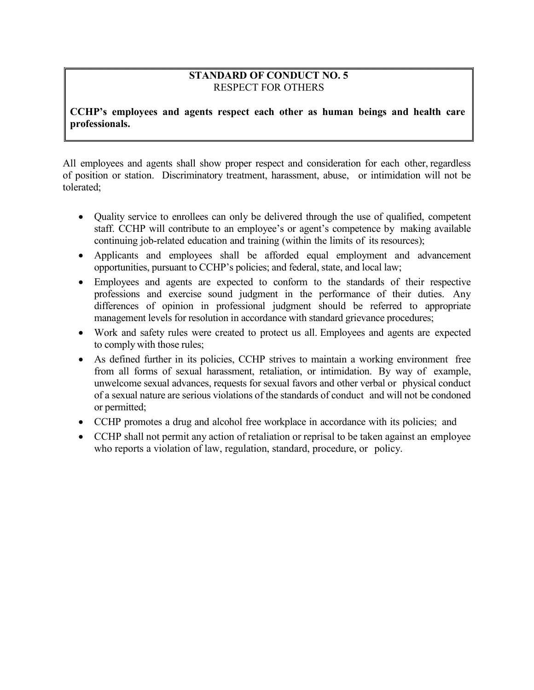# **STANDARD OF CONDUCT NO. 5** RESPECT FOR OTHERS

**CCHP's employees and agents respect each other as human beings and health care professionals.**

All employees and agents shall show proper respect and consideration for each other, regardless of position or station. Discriminatory treatment, harassment, abuse, or intimidation will not be tolerated;

- Quality service to enrollees can only be delivered through the use of qualified, competent staff. CCHP will contribute to an employee's or agent's competence by making available continuing job-related education and training (within the limits of its resources);
- Applicants and employees shall be afforded equal employment and advancement opportunities, pursuant to CCHP's policies; and federal, state, and local law;
- Employees and agents are expected to conform to the standards of their respective professions and exercise sound judgment in the performance of their duties. Any differences of opinion in professional judgment should be referred to appropriate management levels for resolution in accordance with standard grievance procedures;
- Work and safety rules were created to protect us all. Employees and agents are expected to comply with those rules;
- As defined further in its policies, CCHP strives to maintain a working environment free from all forms of sexual harassment, retaliation, or intimidation. By way of example, unwelcome sexual advances, requests for sexual favors and other verbal or physical conduct of a sexual nature are serious violations of the standards of conduct and will not be condoned or permitted;
- CCHP promotes a drug and alcohol free workplace in accordance with its policies; and
- CCHP shall not permit any action of retaliation or reprisal to be taken against an employee who reports a violation of law, regulation, standard, procedure, or policy.